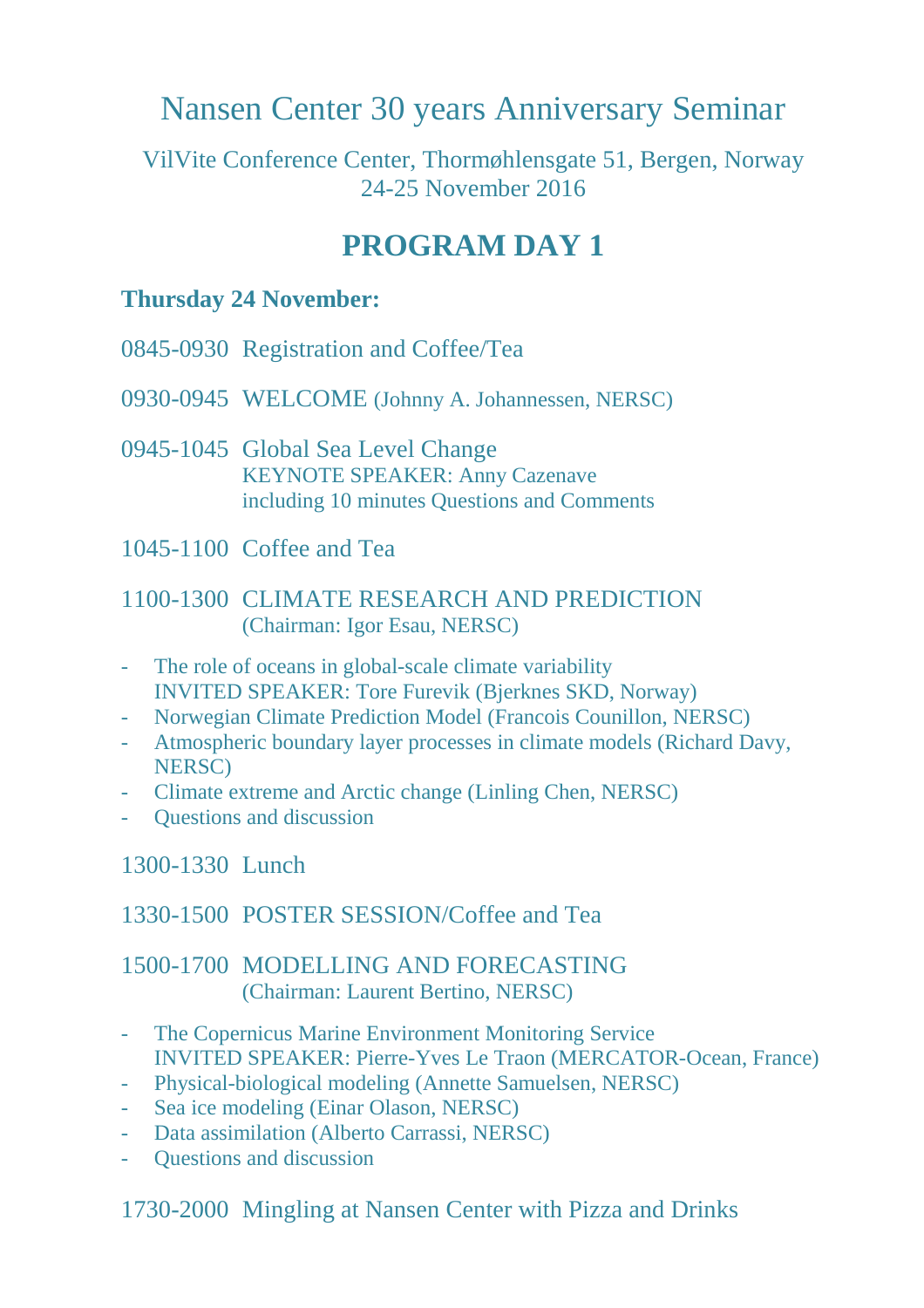# Nansen Center 30 years Anniversary Seminar

VilVite Conference Center, Thormøhlensgate 51, Bergen, Norway 24-25 November 2016

## **PROGRAM DAY 1**

#### **Thursday 24 November:**

- 0845-0930 Registration and Coffee/Tea
- 0930-0945 WELCOME (Johnny A. Johannessen, NERSC)
- 0945-1045 Global Sea Level Change KEYNOTE SPEAKER: Anny Cazenave including 10 minutes Questions and Comments
- 1045-1100 Coffee and Tea

#### 1100-1300 CLIMATE RESEARCH AND PREDICTION (Chairman: Igor Esau, NERSC)

- The role of oceans in global-scale climate variability INVITED SPEAKER: Tore Furevik (Bjerknes SKD, Norway)
- Norwegian Climate Prediction Model (Francois Counillon, NERSC)
- Atmospheric boundary layer processes in climate models (Richard Davy, NERSC)
- Climate extreme and Arctic change (Linling Chen, NERSC)
- Questions and discussion

#### 1300-1330 Lunch

#### 1330-1500 POSTER SESSION/Coffee and Tea

#### 1500-1700 MODELLING AND FORECASTING (Chairman: Laurent Bertino, NERSC)

- The Copernicus Marine Environment Monitoring Service INVITED SPEAKER: Pierre-Yves Le Traon (MERCATOR-Ocean, France)
- Physical-biological modeling (Annette Samuelsen, NERSC)
- Sea ice modeling (Einar Olason, NERSC)
- Data assimilation (Alberto Carrassi, NERSC)
- Ouestions and discussion

1730-2000 Mingling at Nansen Center with Pizza and Drinks